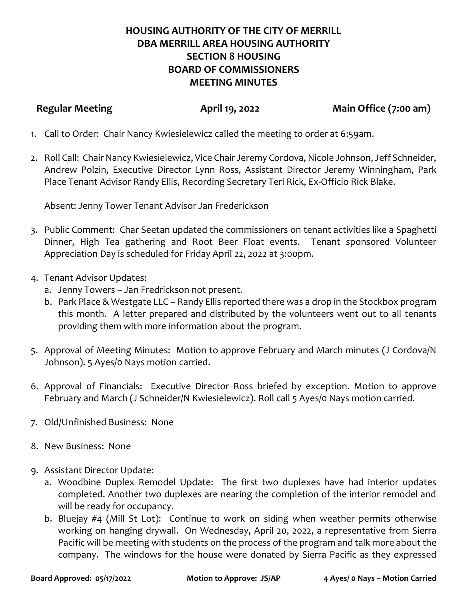## **HOUSING AUTHORITY OF THE CITY OF MERRILL DBA MERRILL AREA HOUSING AUTHORITY SECTION 8 HOUSING BOARD OF COMMISSIONERS MEETING MINUTES**

**Regular Meeting April 19, 2022 Main Office (7:00 am)**

- 1. Call to Order: Chair Nancy Kwiesielewicz called the meeting to order at 6:59am.
- 2. Roll Call: Chair Nancy Kwiesielewicz, Vice Chair Jeremy Cordova, Nicole Johnson, Jeff Schneider, Andrew Polzin, Executive Director Lynn Ross, Assistant Director Jeremy Winningham, Park Place Tenant Advisor Randy Ellis, Recording Secretary Teri Rick, Ex-Officio Rick Blake.

Absent: Jenny Tower Tenant Advisor Jan Frederickson

- 3. Public Comment: Char Seetan updated the commissioners on tenant activities like a Spaghetti Dinner, High Tea gathering and Root Beer Float events. Tenant sponsored Volunteer Appreciation Day is scheduled for Friday April 22, 2022 at 3:00pm.
- 4. Tenant Advisor Updates:
	- a. Jenny Towers Jan Fredrickson not present.
	- b. Park Place & Westgate LLC Randy Ellis reported there was a drop in the Stockbox program this month. A letter prepared and distributed by the volunteers went out to all tenants providing them with more information about the program.
- 5. Approval of Meeting Minutes: Motion to approve February and March minutes (J Cordova/N Johnson). 5 Ayes/0 Nays motion carried.
- 6. Approval of Financials: Executive Director Ross briefed by exception. Motion to approve February and March (J Schneider/N Kwiesielewicz). Roll call 5 Ayes/0 Nays motion carried.
- 7. Old/Unfinished Business: None
- 8. New Business: None
- 9. Assistant Director Update:
	- a. Woodbine Duplex Remodel Update: The first two duplexes have had interior updates completed. Another two duplexes are nearing the completion of the interior remodel and will be ready for occupancy.
	- b. Bluejay #4 (Mill St Lot): Continue to work on siding when weather permits otherwise working on hanging drywall. On Wednesday, April 20, 2022, a representative from Sierra Pacific will be meeting with students on the process of the program and talk more about the company. The windows for the house were donated by Sierra Pacific as they expressed